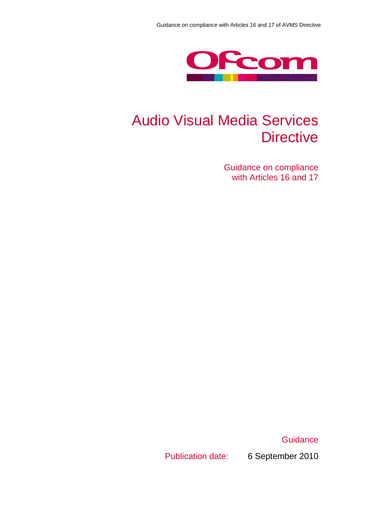

# Audio Visual Media Services **Directive**

Guidance on compliance with Articles 16 and 17

**Guidance** 

Publication date: 6 September 2010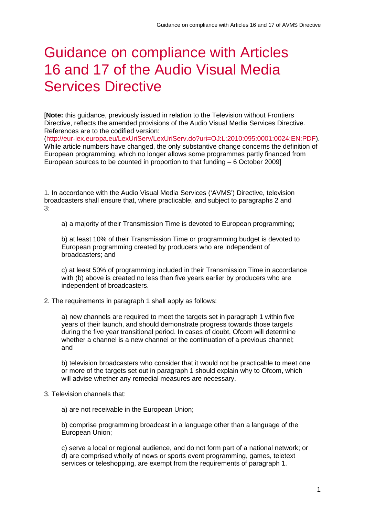# Guidance on compliance with Articles 16 and 17 of the Audio Visual Media Services Directive

[**Note:** this guidance, previously issued in relation to the Television without Frontiers Directive, reflects the amended provisions of the Audio Visual Media Services Directive. References are to the codified version:

[\(http://eur-lex.europa.eu/LexUriServ/LexUriServ.do?uri=OJ:L:2010:095:0001:0024:EN:PDF\)](http://eur-lex.europa.eu/LexUriServ/LexUriServ.do?uri=OJ:L:2010:095:0001:0024:EN:PDF). While article numbers have changed, the only substantive change concerns the definition of European programming, which no longer allows some programmes partly financed from European sources to be counted in proportion to that funding – 6 October 2009]

1. In accordance with the Audio Visual Media Services ('AVMS') Directive, television broadcasters shall ensure that, where practicable, and subject to paragraphs 2 and 3:

a) a majority of their Transmission Time is devoted to European programming;

b) at least 10% of their Transmission Time or programming budget is devoted to European programming created by producers who are independent of broadcasters; and

c) at least 50% of programming included in their Transmission Time in accordance with (b) above is created no less than five years earlier by producers who are independent of broadcasters.

2. The requirements in paragraph 1 shall apply as follows:

a) new channels are required to meet the targets set in paragraph 1 within five years of their launch, and should demonstrate progress towards those targets during the five year transitional period. In cases of doubt, Ofcom will determine whether a channel is a new channel or the continuation of a previous channel; and

b) television broadcasters who consider that it would not be practicable to meet one or more of the targets set out in paragraph 1 should explain why to Ofcom, which will advise whether any remedial measures are necessary.

3. Television channels that:

a) are not receivable in the European Union;

b) comprise programming broadcast in a language other than a language of the European Union;

c) serve a local or regional audience, and do not form part of a national network; or d) are comprised wholly of news or sports event programming, games, teletext services or teleshopping, are exempt from the requirements of paragraph 1.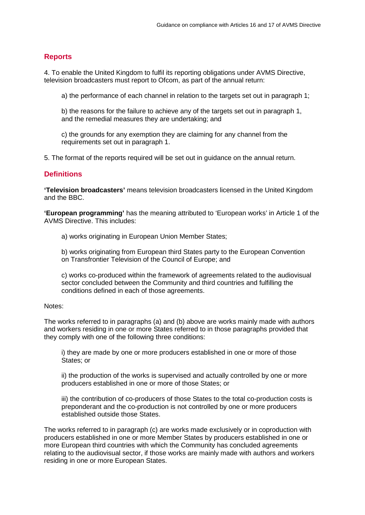### **Reports**

4. To enable the United Kingdom to fulfil its reporting obligations under AVMS Directive, television broadcasters must report to Ofcom, as part of the annual return:

a) the performance of each channel in relation to the targets set out in paragraph 1;

b) the reasons for the failure to achieve any of the targets set out in paragraph 1, and the remedial measures they are undertaking; and

c) the grounds for any exemption they are claiming for any channel from the requirements set out in paragraph 1.

5. The format of the reports required will be set out in guidance on the annual return.

### **Definitions**

**'Television broadcasters'** means television broadcasters licensed in the United Kingdom and the BBC.

**'European programming'** has the meaning attributed to 'European works' in Article 1 of the AVMS Directive. This includes:

a) works originating in European Union Member States;

b) works originating from European third States party to the European Convention on Transfrontier Television of the Council of Europe; and

c) works co-produced within the framework of agreements related to the audiovisual sector concluded between the Community and third countries and fulfilling the conditions defined in each of those agreements.

#### Notes:

The works referred to in paragraphs (a) and (b) above are works mainly made with authors and workers residing in one or more States referred to in those paragraphs provided that they comply with one of the following three conditions:

i) they are made by one or more producers established in one or more of those States; or

ii) the production of the works is supervised and actually controlled by one or more producers established in one or more of those States; or

iii) the contribution of co-producers of those States to the total co-production costs is preponderant and the co-production is not controlled by one or more producers established outside those States.

The works referred to in paragraph (c) are works made exclusively or in coproduction with producers established in one or more Member States by producers established in one or more European third countries with which the Community has concluded agreements relating to the audiovisual sector, if those works are mainly made with authors and workers residing in one or more European States.